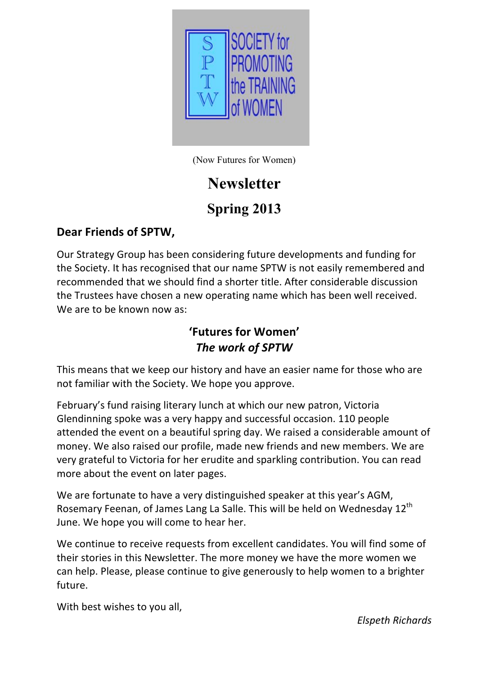

(Now Futures for Women)

# **Newsletter**

# **Spring 2013**

### Dear Friends of SPTW,

Our Strategy Group has been considering future developments and funding for the Society. It has recognised that our name SPTW is not easily remembered and recommended that we should find a shorter title. After considerable discussion the Trustees have chosen a new operating name which has been well received. We are to be known now as:

# 'Futures for Women' *The\$work\$of\$SPTW*

This means that we keep our history and have an easier name for those who are not familiar with the Society. We hope you approve.

February's fund raising literary lunch at which our new patron, Victoria Glendinning spoke was a very happy and successful occasion. 110 people attended the event on a beautiful spring day. We raised a considerable amount of money. We also raised our profile, made new friends and new members. We are very grateful to Victoria for her erudite and sparkling contribution. You can read more about the event on later pages.

We are fortunate to have a very distinguished speaker at this year's AGM, Rosemary Feenan, of James Lang La Salle. This will be held on Wednesday 12<sup>th</sup> June. We hope you will come to hear her.

We continue to receive requests from excellent candidates. You will find some of their stories in this Newsletter. The more money we have the more women we can help. Please, please continue to give generously to help women to a brighter future.

With best wishes to you all,

**Elspeth Richards**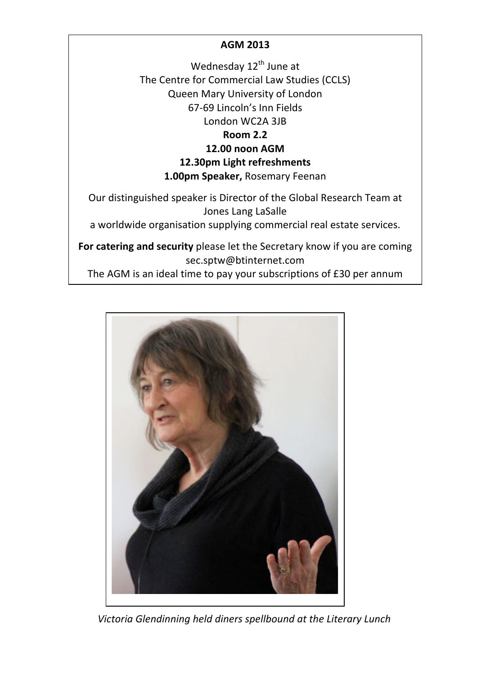### **AGM%2013**

Wednesday 12<sup>th</sup> June at The Centre for Commercial Law Studies (CCLS) Queen Mary University of London 67-69 Lincoln's Inn Fields London WC2A 3JB

#### **Room%2.2**

#### **12.00 noon%AGM**

#### **12.30pm Light refreshments**

#### 1.00pm Speaker, Rosemary Feenan

Our distinguished speaker is Director of the Global Research Team at Jones Lang LaSalle

a worldwide organisation supplying commercial real estate services.

For catering and security please let the Secretary know if you are coming sec.sptw@btinternet.com

The AGM is an ideal time to pay your subscriptions of £30 per annum



Victoria Glendinning held diners spellbound at the Literary Lunch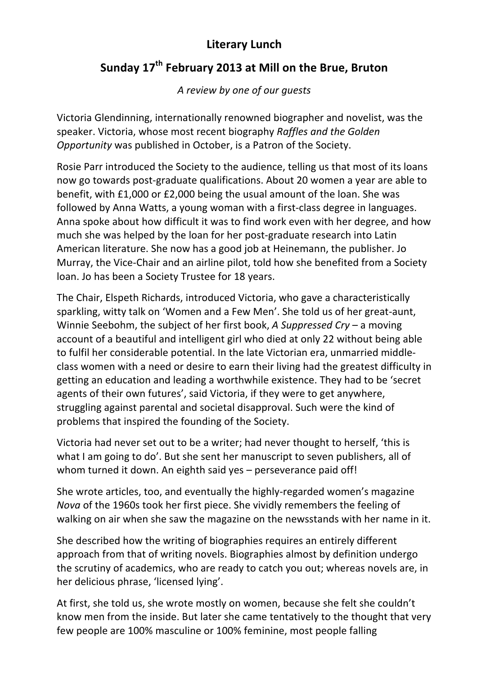### **Literary%Lunch**

# Sunday 17<sup>th</sup> February 2013 at Mill on the Brue, Bruton

A review by one of our quests

Victoria Glendinning, internationally renowned biographer and novelist, was the speaker. Victoria, whose most recent biography *Raffles and the Golden* **Opportunity** was published in October, is a Patron of the Society.

Rosie Parr introduced the Society to the audience, telling us that most of its loans now go towards post-graduate qualifications. About 20 women a year are able to benefit, with  $£1,000$  or  $£2,000$  being the usual amount of the loan. She was followed by Anna Watts, a young woman with a first-class degree in languages. Anna spoke about how difficult it was to find work even with her degree, and how much she was helped by the loan for her post-graduate research into Latin American literature. She now has a good job at Heinemann, the publisher. Jo Murray, the Vice-Chair and an airline pilot, told how she benefited from a Society loan. Jo has been a Society Trustee for 18 years.

The Chair, Elspeth Richards, introduced Victoria, who gave a characteristically sparkling, witty talk on 'Women and a Few Men'. She told us of her great-aunt, Winnie Seebohm, the subject of her first book, *A Suppressed Cry* – a moving account of a beautiful and intelligent girl who died at only 22 without being able to fulfil her considerable potential. In the late Victorian era, unmarried middleclass women with a need or desire to earn their living had the greatest difficulty in getting an education and leading a worthwhile existence. They had to be 'secret agents of their own futures', said Victoria, if they were to get anywhere, struggling against parental and societal disapproval. Such were the kind of problems that inspired the founding of the Society.

Victoria had never set out to be a writer; had never thought to herself, 'this is what I am going to do'. But she sent her manuscript to seven publishers, all of whom turned it down. An eighth said yes – perseverance paid off!

She wrote articles, too, and eventually the highly-regarded women's magazine *Nova* of the 1960s took her first piece. She vividly remembers the feeling of walking on air when she saw the magazine on the newsstands with her name in it.

She described how the writing of biographies requires an entirely different approach from that of writing novels. Biographies almost by definition undergo the scrutiny of academics, who are ready to catch you out; whereas novels are, in her delicious phrase, 'licensed lying'.

At first, she told us, she wrote mostly on women, because she felt she couldn't know men from the inside. But later she came tentatively to the thought that very few people are 100% masculine or 100% feminine, most people falling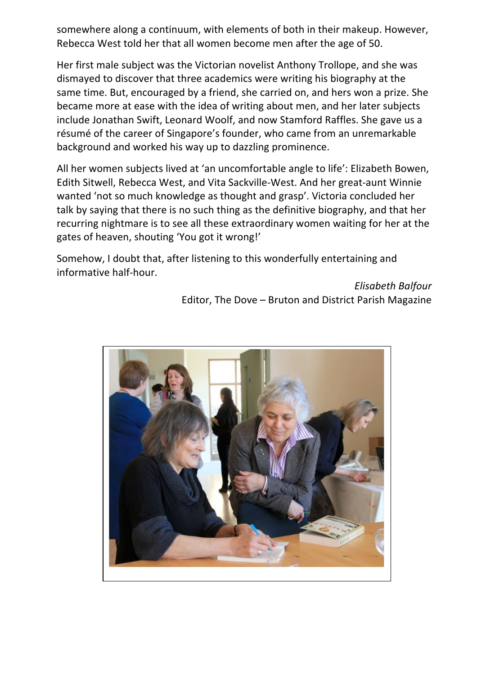somewhere along a continuum, with elements of both in their makeup. However, Rebecca West told her that all women become men after the age of 50.

Her first male subject was the Victorian novelist Anthony Trollope, and she was dismayed to discover that three academics were writing his biography at the same time. But, encouraged by a friend, she carried on, and hers won a prize. She became more at ease with the idea of writing about men, and her later subjects include Jonathan Swift, Leonard Woolf, and now Stamford Raffles. She gave us a résumé of the career of Singapore's founder, who came from an unremarkable background and worked his way up to dazzling prominence.

All her women subjects lived at 'an uncomfortable angle to life': Elizabeth Bowen, Edith Sitwell, Rebecca West, and Vita Sackville-West. And her great-aunt Winnie wanted 'not so much knowledge as thought and grasp'. Victoria concluded her talk by saying that there is no such thing as the definitive biography, and that her recurring nightmare is to see all these extraordinary women waiting for her at the gates of heaven, shouting 'You got it wrong!'

Somehow, I doubt that, after listening to this wonderfully entertaining and informative half-hour.

> **Elisabeth Balfour** Editor, The Dove – Bruton and District Parish Magazine

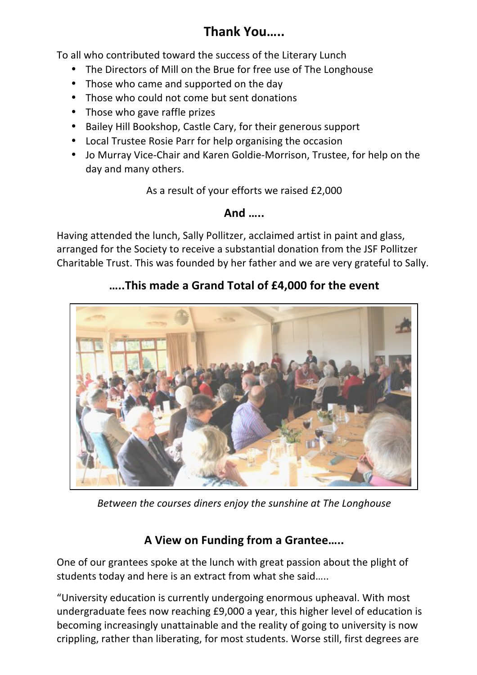# **Thank You…..**

To all who contributed toward the success of the Literary Lunch

- The Directors of Mill on the Brue for free use of The Longhouse
- Those who came and supported on the day
- Those who could not come but sent donations
- Those who gave raffle prizes
- Bailey Hill Bookshop, Castle Cary, for their generous support
- Local Trustee Rosie Parr for help organising the occasion
- Jo Murray Vice-Chair and Karen Goldie-Morrison, Trustee, for help on the day and many others.

As a result of your efforts we raised £2,000

### **And …..**

Having attended the lunch, Sally Pollitzer, acclaimed artist in paint and glass, arranged for the Society to receive a substantial donation from the JSF Pollitzer Charitable Trust. This was founded by her father and we are very grateful to Sally.

## **…..This made a Grand Total of £4,000 for the event**



*Between the courses diners enjoy the sunshine at The Longhouse* 

### **A%View on%Funding from%a%Grantee…..**

One of our grantees spoke at the lunch with great passion about the plight of students today and here is an extract from what she said.....

"University education is currently undergoing enormous upheaval. With most undergraduate fees now reaching £9,000 a year, this higher level of education is becoming increasingly unattainable and the reality of going to university is now crippling, rather than liberating, for most students. Worse still, first degrees are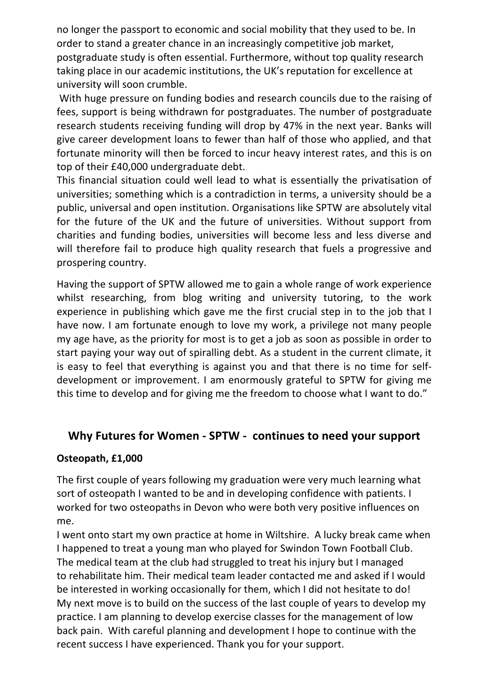no longer the passport to economic and social mobility that they used to be. In order to stand a greater chance in an increasingly competitive job market, postgraduate study is often essential. Furthermore, without top quality research taking place in our academic institutions, the UK's reputation for excellence at university will soon crumble.

With huge pressure on funding bodies and research councils due to the raising of fees, support is being withdrawn for postgraduates. The number of postgraduate research students receiving funding will drop by 47% in the next year. Banks will give career development loans to fewer than half of those who applied, and that fortunate minority will then be forced to incur heavy interest rates, and this is on top of their £40,000 undergraduate debt.

This financial situation could well lead to what is essentially the privatisation of universities; something which is a contradiction in terms, a university should be a public, universal and open institution. Organisations like SPTW are absolutely vital for the future of the UK and the future of universities. Without support from charities and funding bodies, universities will become less and less diverse and will therefore fail to produce high quality research that fuels a progressive and prospering country.

Having the support of SPTW allowed me to gain a whole range of work experience whilst researching, from blog writing and university tutoring, to the work experience in publishing which gave me the first crucial step in to the job that I have now. I am fortunate enough to love my work, a privilege not many people my age have, as the priority for most is to get a job as soon as possible in order to start paying your way out of spiralling debt. As a student in the current climate, it is easy to feel that everything is against you and that there is no time for selfdevelopment or improvement. I am enormously grateful to SPTW for giving me this time to develop and for giving me the freedom to choose what I want to do."

### Why Futures for Women - SPTW - continues to need your support

### **Osteopath, £1,000**

The first couple of years following my graduation were very much learning what sort of osteopath I wanted to be and in developing confidence with patients. I worked for two osteopaths in Devon who were both very positive influences on me.

I went onto start my own practice at home in Wiltshire. A lucky break came when I happened to treat a young man who played for Swindon Town Football Club. The medical team at the club had struggled to treat his injury but I managed to rehabilitate him. Their medical team leader contacted me and asked if I would be interested in working occasionally for them, which I did not hesitate to do! My next move is to build on the success of the last couple of years to develop my practice. I am planning to develop exercise classes for the management of low back pain. With careful planning and development I hope to continue with the recent success I have experienced. Thank you for your support.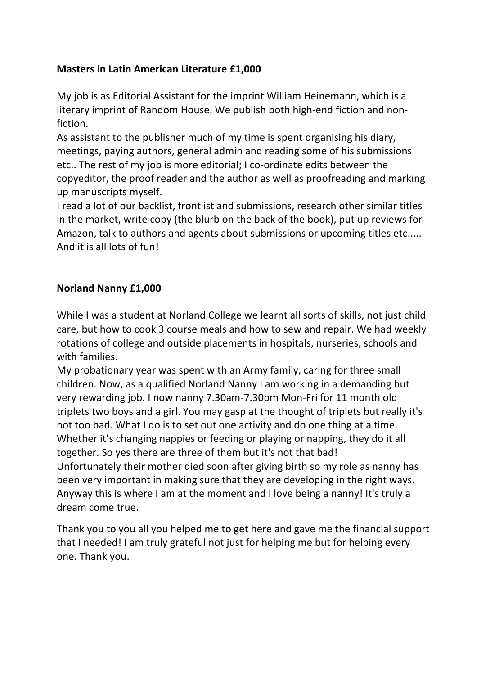### **Masters in Latin American Literature £1,000**

My job is as Editorial Assistant for the imprint William Heinemann, which is a literary imprint of Random House. We publish both high-end fiction and nonfiction.

As assistant to the publisher much of my time is spent organising his diary, meetings, paying authors, general admin and reading some of his submissions etc.. The rest of my job is more editorial; I co-ordinate edits between the copyeditor, the proof reader and the author as well as proofreading and marking up manuscripts myself.

I read a lot of our backlist, frontlist and submissions, research other similar titles in the market, write copy (the blurb on the back of the book), put up reviews for Amazon, talk to authors and agents about submissions or upcoming titles etc..... And it is all lots of fun!

### **Norland%Nanny £1,000**

While I was a student at Norland College we learnt all sorts of skills, not just child care, but how to cook 3 course meals and how to sew and repair. We had weekly rotations of college and outside placements in hospitals, nurseries, schools and with families.

My probationary year was spent with an Army family, caring for three small children. Now, as a qualified Norland Nanny I am working in a demanding but very rewarding job. I now nanny 7.30am-7.30pm Mon-Fri for 11 month old triplets two boys and a girl. You may gasp at the thought of triplets but really it's not too bad. What I do is to set out one activity and do one thing at a time. Whether it's changing nappies or feeding or playing or napping, they do it all together. So yes there are three of them but it's not that bad! Unfortunately their mother died soon after giving birth so my role as nanny has been very important in making sure that they are developing in the right ways. Anyway this is where I am at the moment and I love being a nanny! It's truly a dream come true.

Thank you to you all you helped me to get here and gave me the financial support that I needed! I am truly grateful not just for helping me but for helping every one. Thank you.